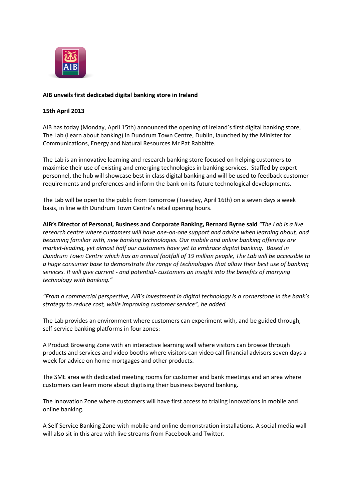

# **AIB unveils first dedicated digital banking store in Ireland**

## **15th April 2013**

AIB has today (Monday, April 15th) announced the opening of Ireland's first digital banking store, The Lab (Learn about banking) in Dundrum Town Centre, Dublin, launched by the Minister for Communications, Energy and Natural Resources Mr Pat Rabbitte.

The Lab is an innovative learning and research banking store focused on helping customers to maximise their use of existing and emerging technologies in banking services. Staffed by expert personnel, the hub will showcase best in class digital banking and will be used to feedback customer requirements and preferences and inform the bank on its future technological developments.

The Lab will be open to the public from tomorrow (Tuesday, April 16th) on a seven days a week basis, in line with Dundrum Town Centre's retail opening hours.

**AIB's Director of Personal, Business and Corporate Banking, Bernard Byrne said** *"The Lab is a live research centre where customers will have one-on-one support and advice when learning about, and becoming familiar with, new banking technologies. Our mobile and online banking offerings are market-leading, yet almost half our customers have yet to embrace digital banking. Based in Dundrum Town Centre which has an annual footfall of 19 million people, The Lab will be accessible to a huge consumer base to demonstrate the range of technologies that allow their best use of banking services. It will give current - and potential- customers an insight into the benefits of marrying technology with banking."*

*"From a commercial perspective, AIB's investment in digital technology is a cornerstone in the bank's strategy to reduce cost, while improving customer service", he added.*

The Lab provides an environment where customers can experiment with, and be guided through, self-service banking platforms in four zones:

A Product Browsing Zone with an interactive learning wall where visitors can browse through products and services and video booths where visitors can video call financial advisors seven days a week for advice on home mortgages and other products.

The SME area with dedicated meeting rooms for customer and bank meetings and an area where customers can learn more about digitising their business beyond banking.

The Innovation Zone where customers will have first access to trialing innovations in mobile and online banking.

A Self Service Banking Zone with mobile and online demonstration installations. A social media wall will also sit in this area with live streams from Facebook and Twitter.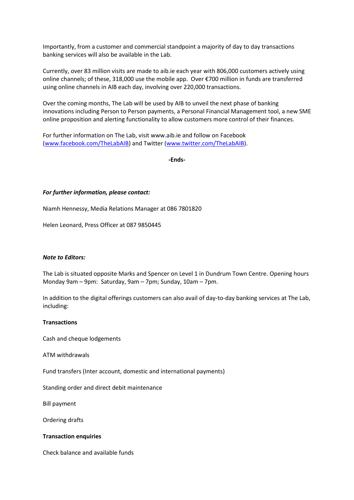Importantly, from a customer and commercial standpoint a majority of day to day transactions banking services will also be available in the Lab.

Currently, over 83 million visits are made to aib.ie each year with 806,000 customers actively using online channels; of these, 318,000 use the mobile app. Over €700 million in funds are transferred using online channels in AIB each day, involving over 220,000 transactions.

Over the coming months, The Lab will be used by AIB to unveil the next phase of banking innovations including Person to Person payments, a Personal Financial Management tool, a new SME online proposition and alerting functionality to allow customers more control of their finances.

For further information on The Lab, visit www.aib.ie and follow on Facebook [\(www.facebook.com/TheLabAIB\)](http://www.facebook.com/TheLabAIB) and Twitter [\(www.twitter.com/TheLabAIB\)](http://www.twitter.com/TheLabAIB).

**-Ends-**

### *For further information, please contact:*

Niamh Hennessy, Media Relations Manager at 086 7801820

Helen Leonard, Press Officer at 087 9850445

## *Note to Editors:*

The Lab is situated opposite Marks and Spencer on Level 1 in Dundrum Town Centre. Opening hours Monday 9am – 9pm: Saturday, 9am – 7pm; Sunday, 10am – 7pm.

In addition to the digital offerings customers can also avail of day-to-day banking services at The Lab, including:

## **Transactions**

Cash and cheque lodgements

ATM withdrawals

Fund transfers (Inter account, domestic and international payments)

Standing order and direct debit maintenance

Bill payment

Ordering drafts

#### **Transaction enquiries**

Check balance and available funds